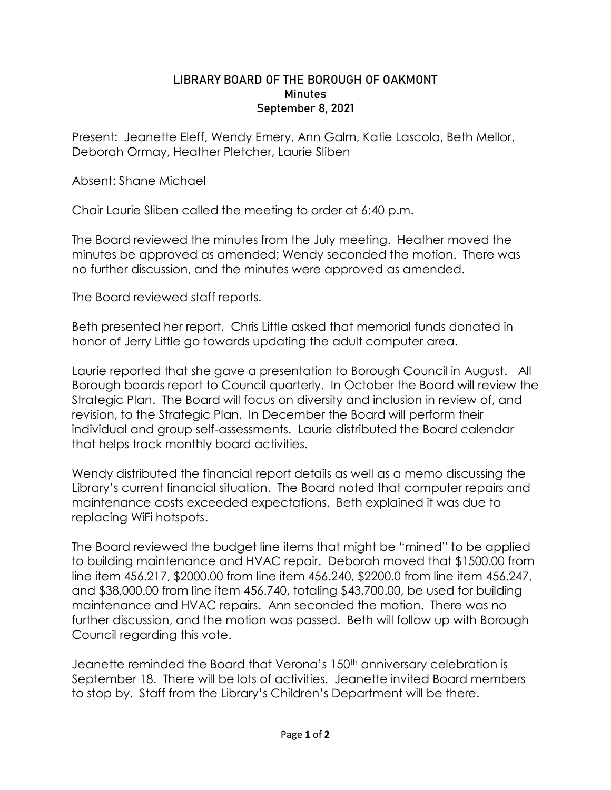## LIBRARY BOARD OF THE BOROUGH OF OAKMONT **Minutes** September 8, 2021

Present: Jeanette Eleff, Wendy Emery, Ann Galm, Katie Lascola, Beth Mellor, Deborah Ormay, Heather Pletcher, Laurie Sliben

Absent: Shane Michael

Chair Laurie Sliben called the meeting to order at 6:40 p.m.

The Board reviewed the minutes from the July meeting. Heather moved the minutes be approved as amended; Wendy seconded the motion. There was no further discussion, and the minutes were approved as amended.

The Board reviewed staff reports.

Beth presented her report. Chris Little asked that memorial funds donated in honor of Jerry Little go towards updating the adult computer area.

Laurie reported that she gave a presentation to Borough Council in August. All Borough boards report to Council quarterly. In October the Board will review the Strategic Plan. The Board will focus on diversity and inclusion in review of, and revision, to the Strategic Plan. In December the Board will perform their individual and group self-assessments. Laurie distributed the Board calendar that helps track monthly board activities.

Wendy distributed the financial report details as well as a memo discussing the Library's current financial situation. The Board noted that computer repairs and maintenance costs exceeded expectations. Beth explained it was due to replacing WiFi hotspots.

The Board reviewed the budget line items that might be "mined" to be applied to building maintenance and HVAC repair. Deborah moved that \$1500.00 from line item 456.217, \$2000.00 from line item 456.240, \$2200.0 from line item 456.247, and \$38,000.00 from line item 456.740, totaling \$43,700.00, be used for building maintenance and HVAC repairs. Ann seconded the motion. There was no further discussion, and the motion was passed. Beth will follow up with Borough Council regarding this vote.

Jeanette reminded the Board that Verona's 150<sup>th</sup> anniversary celebration is September 18. There will be lots of activities. Jeanette invited Board members to stop by. Staff from the Library's Children's Department will be there.